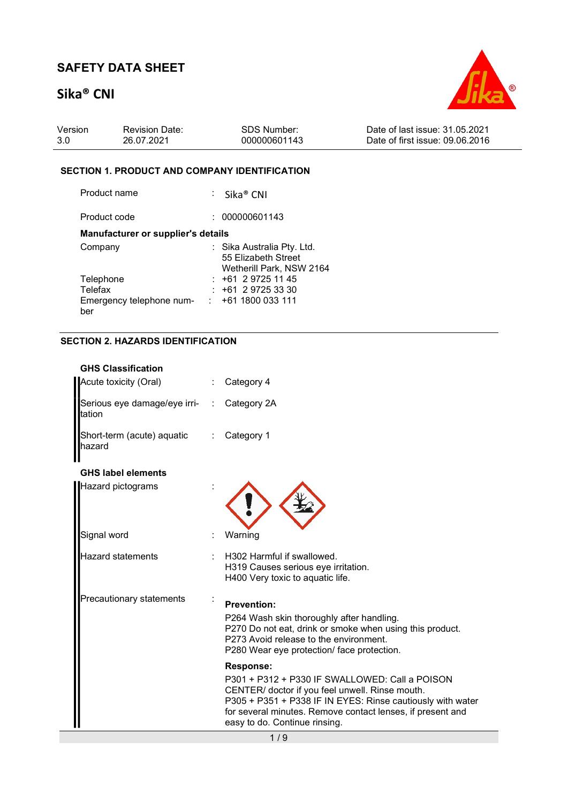# Sika® CNI



| Version | <b>Revision Date:</b> | SDS Number:  | Date of last issue: 31.05.2021  |
|---------|-----------------------|--------------|---------------------------------|
| -3.0    | 26.07.2021            | 000000601143 | Date of first issue: 09.06.2016 |

#### SECTION 1. PRODUCT AND COMPANY IDENTIFICATION

| Product name                              | $:$ Sika <sup>®</sup> CNI                         |
|-------------------------------------------|---------------------------------------------------|
| Product code                              | 000000601143                                      |
| <b>Manufacturer or supplier's details</b> |                                                   |
| Company                                   | : Sika Australia Pty. Ltd.<br>55 Elizabeth Street |
|                                           | Wetherill Park, NSW 2164                          |
| Telephone                                 | $: +61297251145$                                  |
| Telefax                                   | $: +61297253330$                                  |
| Emergency telephone num-                  | $\div$ +61 1800 033 111                           |
| ber                                       |                                                   |

### SECTION 2. HAZARDS IDENTIFICATION

| <b>GHS Classification</b> |                              |                                                                                                                                                                                                                                                                |
|---------------------------|------------------------------|----------------------------------------------------------------------------------------------------------------------------------------------------------------------------------------------------------------------------------------------------------------|
| Acute toxicity (Oral)     |                              | Category 4                                                                                                                                                                                                                                                     |
| ltation                   | Serious eye damage/eye irri- | Category 2A                                                                                                                                                                                                                                                    |
| hazard                    | Short-term (acute) aquatic   | Category 1                                                                                                                                                                                                                                                     |
| <b>GHS label elements</b> |                              |                                                                                                                                                                                                                                                                |
| <b>Hazard pictograms</b>  |                              |                                                                                                                                                                                                                                                                |
| Signal word               |                              | Warning                                                                                                                                                                                                                                                        |
| Hazard statements         |                              | H302 Harmful if swallowed.<br>H319 Causes serious eye irritation.<br>H400 Very toxic to aquatic life.                                                                                                                                                          |
|                           | Precautionary statements     | <b>Prevention:</b><br>P264 Wash skin thoroughly after handling.                                                                                                                                                                                                |
|                           |                              | P270 Do not eat, drink or smoke when using this product.<br>P273 Avoid release to the environment.<br>P280 Wear eye protection/ face protection.                                                                                                               |
|                           |                              | <b>Response:</b>                                                                                                                                                                                                                                               |
|                           |                              | P301 + P312 + P330 IF SWALLOWED: Call a POISON<br>CENTER/ doctor if you feel unwell. Rinse mouth.<br>P305 + P351 + P338 IF IN EYES: Rinse cautiously with water<br>for several minutes. Remove contact lenses, if present and<br>easy to do. Continue rinsing. |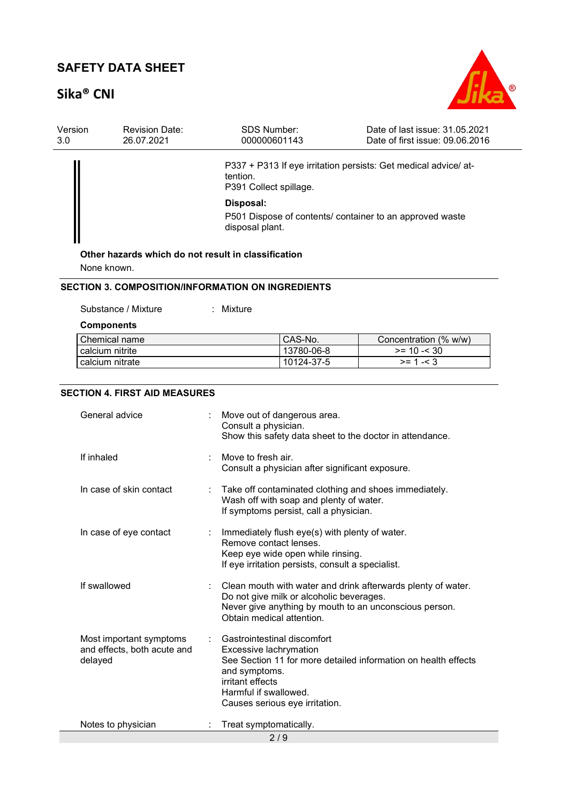# Sika® CNI



| Version<br>3.0 | <b>Revision Date:</b><br>26.07.2021 | <b>SDS Number:</b><br>000000601143                  | Date of last issue: 31.05.2021<br>Date of first issue: 09.06.2016 |
|----------------|-------------------------------------|-----------------------------------------------------|-------------------------------------------------------------------|
|                |                                     | tention.<br>P391 Collect spillage.                  | P337 + P313 If eye irritation persists: Get medical advice/ at-   |
|                |                                     | Disposal:<br>disposal plant.                        | P501 Dispose of contents/ container to an approved waste          |
|                | None known.                         | Other hazards which do not result in classification |                                                                   |

#### SECTION 3. COMPOSITION/INFORMATION ON INGREDIENTS

: Mixture

| <b>Components</b> |            |                       |
|-------------------|------------|-----------------------|
| Chemical name     | CAS-No.    | Concentration (% w/w) |
| calcium nitrite   | 13780-06-8 | $>= 10 - 530$         |
| calcium nitrate   | 10124-37-5 | $>= 1 - 3$            |

#### SECTION 4. FIRST AID MEASURES

| General advice                                                    |  | Move out of dangerous area.<br>Consult a physician.<br>Show this safety data sheet to the doctor in attendance.                                                                                                         |  |
|-------------------------------------------------------------------|--|-------------------------------------------------------------------------------------------------------------------------------------------------------------------------------------------------------------------------|--|
| If inhaled                                                        |  | Move to fresh air.<br>Consult a physician after significant exposure.                                                                                                                                                   |  |
| In case of skin contact                                           |  | Take off contaminated clothing and shoes immediately.<br>Wash off with soap and plenty of water.<br>If symptoms persist, call a physician.                                                                              |  |
| In case of eye contact                                            |  | Immediately flush eye(s) with plenty of water.<br>Remove contact lenses.<br>Keep eye wide open while rinsing.<br>If eye irritation persists, consult a specialist.                                                      |  |
| If swallowed                                                      |  | Clean mouth with water and drink afterwards plenty of water.<br>Do not give milk or alcoholic beverages.<br>Never give anything by mouth to an unconscious person.<br>Obtain medical attention.                         |  |
| Most important symptoms<br>and effects, both acute and<br>delayed |  | Gastrointestinal discomfort<br>Excessive lachrymation<br>See Section 11 for more detailed information on health effects<br>and symptoms.<br>irritant effects<br>Harmful if swallowed.<br>Causes serious eye irritation. |  |
| Notes to physician                                                |  | Treat symptomatically.                                                                                                                                                                                                  |  |
| 2/9                                                               |  |                                                                                                                                                                                                                         |  |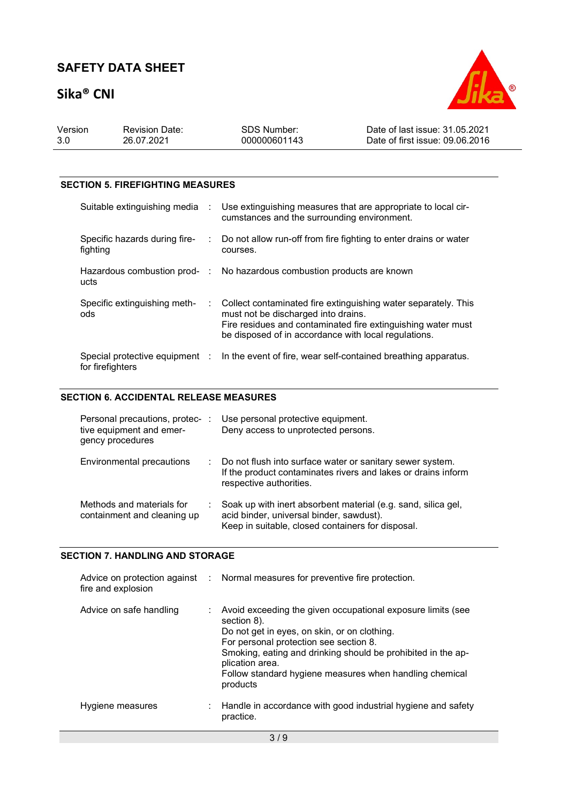# Sika® CNI



| Version | <b>Revision Date:</b> | SDS Number:  | Date of last issue: 31.05.2021  |
|---------|-----------------------|--------------|---------------------------------|
| 3.0     | 26.07.2021            | 000000601143 | Date of first issue: 09.06.2016 |

#### SECTION 5. FIREFIGHTING MEASURES

| Suitable extinguishing media :            | Use extinguishing measures that are appropriate to local cir-<br>cumstances and the surrounding environment.                                                                                                                    |
|-------------------------------------------|---------------------------------------------------------------------------------------------------------------------------------------------------------------------------------------------------------------------------------|
| Specific hazards during fire-<br>fighting | Do not allow run-off from fire fighting to enter drains or water<br>courses.                                                                                                                                                    |
| ucts                                      | Hazardous combustion prod- : No hazardous combustion products are known                                                                                                                                                         |
| Specific extinguishing meth-<br>ods       | : Collect contaminated fire extinguishing water separately. This<br>must not be discharged into drains.<br>Fire residues and contaminated fire extinguishing water must<br>be disposed of in accordance with local regulations. |
| for firefighters                          | Special protective equipment : In the event of fire, wear self-contained breathing apparatus.                                                                                                                                   |

#### SECTION 6. ACCIDENTAL RELEASE MEASURES

| Personal precautions, protec- :<br>tive equipment and emer-<br>gency procedures |    | Use personal protective equipment.<br>Deny access to unprotected persons.                                                                                      |
|---------------------------------------------------------------------------------|----|----------------------------------------------------------------------------------------------------------------------------------------------------------------|
| <b>Environmental precautions</b>                                                | ÷. | Do not flush into surface water or sanitary sewer system.<br>If the product contaminates rivers and lakes or drains inform<br>respective authorities.          |
| Methods and materials for<br>containment and cleaning up                        |    | Soak up with inert absorbent material (e.g. sand, silica gel,<br>acid binder, universal binder, sawdust).<br>Keep in suitable, closed containers for disposal. |

#### SECTION 7. HANDLING AND STORAGE

| fire and explosion      | Advice on protection against : Normal measures for preventive fire protection.                                                                                                                                                                                                                                                 |
|-------------------------|--------------------------------------------------------------------------------------------------------------------------------------------------------------------------------------------------------------------------------------------------------------------------------------------------------------------------------|
| Advice on safe handling | Avoid exceeding the given occupational exposure limits (see<br>section 8).<br>Do not get in eyes, on skin, or on clothing.<br>For personal protection see section 8.<br>Smoking, eating and drinking should be prohibited in the ap-<br>plication area.<br>Follow standard hygiene measures when handling chemical<br>products |
| Hygiene measures        | Handle in accordance with good industrial hygiene and safety<br>practice.                                                                                                                                                                                                                                                      |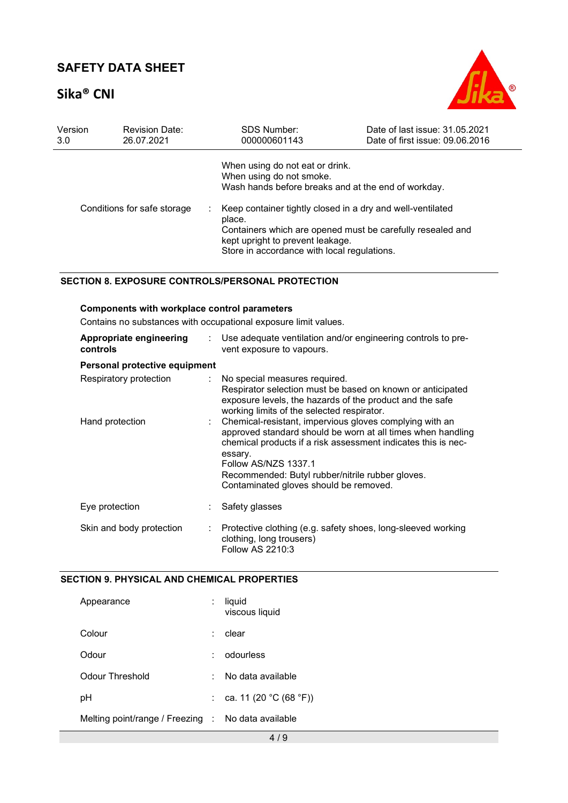# Sika® CNI



| Version | <b>Revision Date:</b>       | <b>SDS Number:</b>                                                                                                                                                                                                                                                                                                                          | Date of last issue: 31.05.2021  |
|---------|-----------------------------|---------------------------------------------------------------------------------------------------------------------------------------------------------------------------------------------------------------------------------------------------------------------------------------------------------------------------------------------|---------------------------------|
| 3.0     | 26.07.2021                  | 000000601143                                                                                                                                                                                                                                                                                                                                | Date of first issue: 09.06.2016 |
|         | Conditions for safe storage | When using do not eat or drink.<br>When using do not smoke.<br>Wash hands before breaks and at the end of workday.<br>Keep container tightly closed in a dry and well-ventilated<br>place.<br>Containers which are opened must be carefully resealed and<br>kept upright to prevent leakage.<br>Store in accordance with local regulations. |                                 |

#### SECTION 8. EXPOSURE CONTROLS/PERSONAL PROTECTION

| Components with workplace control parameters                    |                           |                                                                                                                                                                                                                                                                                                                          |  |  |  |
|-----------------------------------------------------------------|---------------------------|--------------------------------------------------------------------------------------------------------------------------------------------------------------------------------------------------------------------------------------------------------------------------------------------------------------------------|--|--|--|
| Contains no substances with occupational exposure limit values. |                           |                                                                                                                                                                                                                                                                                                                          |  |  |  |
| Appropriate engineering<br>controls                             | $\mathbb{R}^{\mathbb{Z}}$ | Use adequate ventilation and/or engineering controls to pre-<br>vent exposure to vapours.                                                                                                                                                                                                                                |  |  |  |
| Personal protective equipment                                   |                           |                                                                                                                                                                                                                                                                                                                          |  |  |  |
| Respiratory protection                                          | t.                        | No special measures required.<br>Respirator selection must be based on known or anticipated<br>exposure levels, the hazards of the product and the safe<br>working limits of the selected respirator.                                                                                                                    |  |  |  |
| Hand protection                                                 |                           | Chemical-resistant, impervious gloves complying with an<br>approved standard should be worn at all times when handling<br>chemical products if a risk assessment indicates this is nec-<br>essary.<br>Follow AS/NZS 1337.1<br>Recommended: Butyl rubber/nitrile rubber gloves.<br>Contaminated gloves should be removed. |  |  |  |
| Eye protection                                                  |                           | Safety glasses                                                                                                                                                                                                                                                                                                           |  |  |  |
| Skin and body protection                                        |                           | Protective clothing (e.g. safety shoes, long-sleeved working<br>clothing, long trousers)<br>Follow AS 2210:3                                                                                                                                                                                                             |  |  |  |

#### SECTION 9. PHYSICAL AND CHEMICAL PROPERTIES

| Appearance                                         |    | liquid<br>viscous liquid |
|----------------------------------------------------|----|--------------------------|
| Colour                                             |    | clear                    |
| Odour                                              |    | odourless                |
| Odour Threshold                                    |    | No data available        |
| рH                                                 | ÷. | ca. 11 (20 °C (68 °F))   |
| Melting point/range / Freezing : No data available |    |                          |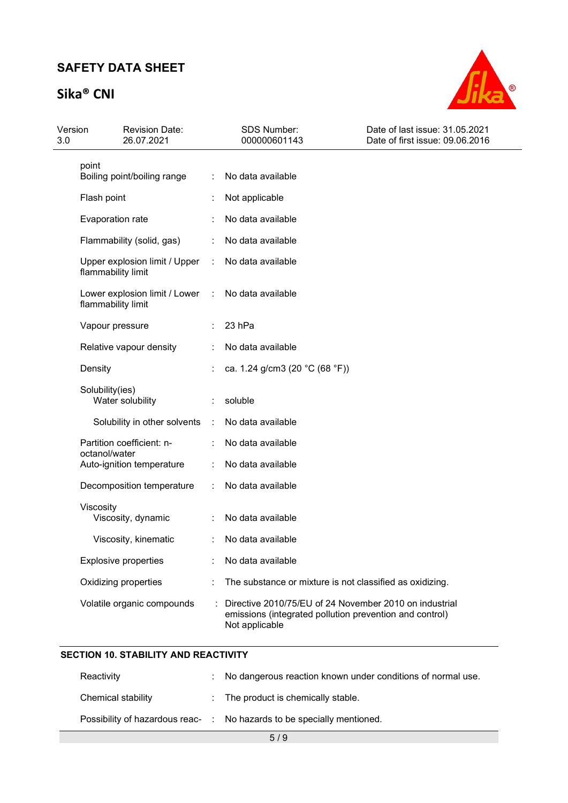# Sika® CNI



| Version<br>3.0 | <b>Revision Date:</b><br>26.07.2021                 |               | <b>SDS Number:</b><br>000000601143                                                                                                  | Date of last issue: 31.05.2021<br>Date of first issue: 09.06.2016 |
|----------------|-----------------------------------------------------|---------------|-------------------------------------------------------------------------------------------------------------------------------------|-------------------------------------------------------------------|
|                | point<br>Boiling point/boiling range                |               | No data available                                                                                                                   |                                                                   |
|                | Flash point                                         |               | Not applicable                                                                                                                      |                                                                   |
|                | Evaporation rate                                    |               | No data available                                                                                                                   |                                                                   |
|                | Flammability (solid, gas)                           | ÷             | No data available                                                                                                                   |                                                                   |
|                | Upper explosion limit / Upper<br>flammability limit | ÷             | No data available                                                                                                                   |                                                                   |
|                | Lower explosion limit / Lower<br>flammability limit | $\mathcal{L}$ | No data available                                                                                                                   |                                                                   |
|                | Vapour pressure                                     |               | 23 hPa                                                                                                                              |                                                                   |
|                | Relative vapour density                             |               | No data available                                                                                                                   |                                                                   |
|                | Density                                             |               | ca. 1.24 g/cm3 (20 °C (68 °F))                                                                                                      |                                                                   |
|                | Solubility(ies)<br>Water solubility                 |               | soluble                                                                                                                             |                                                                   |
|                | Solubility in other solvents                        | ÷             | No data available                                                                                                                   |                                                                   |
|                | Partition coefficient: n-<br>octanol/water          |               | No data available                                                                                                                   |                                                                   |
|                | Auto-ignition temperature                           | ÷             | No data available                                                                                                                   |                                                                   |
|                | Decomposition temperature                           |               | No data available                                                                                                                   |                                                                   |
|                | Viscosity<br>Viscosity, dynamic                     |               | No data available                                                                                                                   |                                                                   |
|                | Viscosity, kinematic                                |               | No data available                                                                                                                   |                                                                   |
|                | <b>Explosive properties</b>                         |               | No data available                                                                                                                   |                                                                   |
|                | Oxidizing properties                                |               | The substance or mixture is not classified as oxidizing.                                                                            |                                                                   |
|                | Volatile organic compounds                          |               | Directive 2010/75/EU of 24 November 2010 on industrial<br>emissions (integrated pollution prevention and control)<br>Not applicable |                                                                   |

#### SECTION 10. STABILITY AND REACTIVITY

| Reactivity                                                             |  | : No dangerous reaction known under conditions of normal use. |  |
|------------------------------------------------------------------------|--|---------------------------------------------------------------|--|
| Chemical stability                                                     |  | : The product is chemically stable.                           |  |
| Possibility of hazardous reac- : No hazards to be specially mentioned. |  |                                                               |  |
| 5/9                                                                    |  |                                                               |  |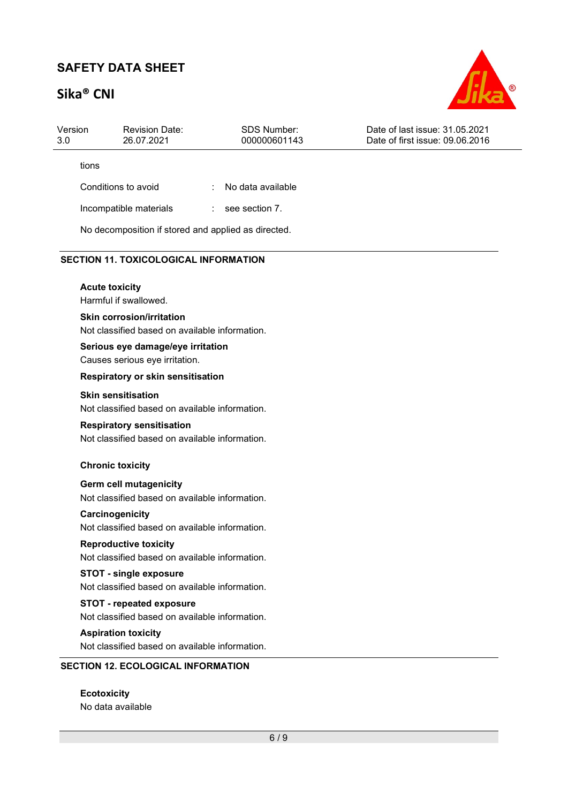# Sika® CNI



| Version<br>3.0 | <b>Revision Date:</b><br>26.07.2021                                                | <b>SDS Number:</b><br>000000601143                  | Date of last issue: 31.05.2021<br>Date of first issue: 09.06.2016 |
|----------------|------------------------------------------------------------------------------------|-----------------------------------------------------|-------------------------------------------------------------------|
| tions          |                                                                                    |                                                     |                                                                   |
|                | Conditions to avoid                                                                | No data available                                   |                                                                   |
|                | Incompatible materials                                                             | see section 7.<br>÷.                                |                                                                   |
|                |                                                                                    | No decomposition if stored and applied as directed. |                                                                   |
|                | <b>SECTION 11. TOXICOLOGICAL INFORMATION</b>                                       |                                                     |                                                                   |
|                | <b>Acute toxicity</b><br>Harmful if swallowed.                                     |                                                     |                                                                   |
|                | <b>Skin corrosion/irritation</b><br>Not classified based on available information. |                                                     |                                                                   |
|                | Serious eye damage/eye irritation<br>Causes serious eye irritation.                |                                                     |                                                                   |
|                | Respiratory or skin sensitisation                                                  |                                                     |                                                                   |
|                | <b>Skin sensitisation</b><br>Not classified based on available information.        |                                                     |                                                                   |
|                | <b>Respiratory sensitisation</b><br>Not classified based on available information. |                                                     |                                                                   |
|                | <b>Chronic toxicity</b>                                                            |                                                     |                                                                   |
|                | <b>Germ cell mutagenicity</b><br>Not classified based on available information.    |                                                     |                                                                   |
|                | Carcinogenicity<br>Not classified based on available information.                  |                                                     |                                                                   |
|                | <b>Reproductive toxicity</b><br>Not classified based on available information.     |                                                     |                                                                   |
|                | <b>STOT - single exposure</b><br>Not classified based on available information.    |                                                     |                                                                   |
|                | <b>STOT - repeated exposure</b><br>Not classified based on available information.  |                                                     |                                                                   |
|                | <b>Aspiration toxicity</b><br>Not classified based on available information.       |                                                     |                                                                   |

No data available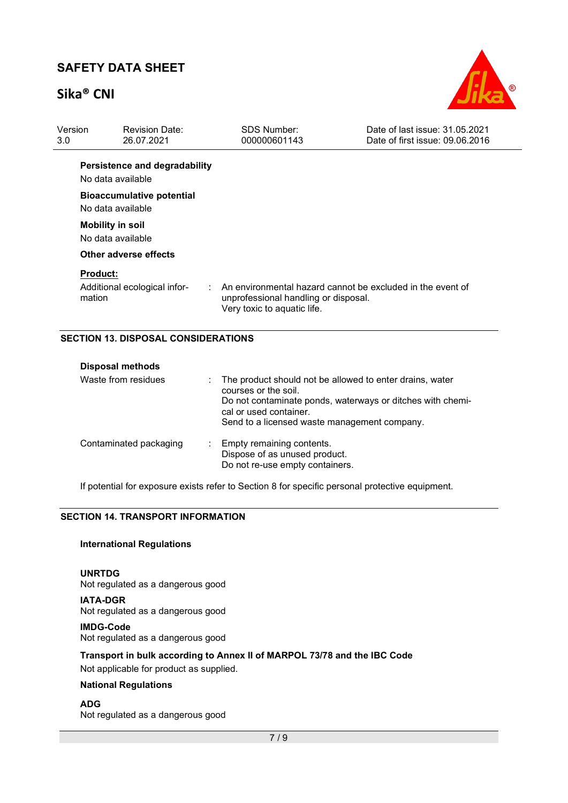## Sika® CNI



| Version<br>3.0 <sub>2</sub> | <b>Revision Date:</b><br>26.07.2021                       | <b>SDS Number:</b><br>000000601143                                  | Date of last issue: 31.05.2021<br>Date of first issue: 09.06.2016 |
|-----------------------------|-----------------------------------------------------------|---------------------------------------------------------------------|-------------------------------------------------------------------|
|                             | Persistence and degradability<br>No data available        |                                                                     |                                                                   |
|                             | <b>Bioaccumulative potential</b><br>No data available     |                                                                     |                                                                   |
|                             | <b>Mobility in soil</b><br>No data available              |                                                                     |                                                                   |
|                             | Other adverse effects                                     |                                                                     |                                                                   |
|                             | <b>Product:</b><br>Additional ecological infor-<br>mation | unprofessional handling or disposal.<br>Very toxic to aquatic life. | An environmental hazard cannot be excluded in the event of        |

#### SECTION 13. DISPOSAL CONSIDERATIONS

| <b>Disposal methods</b> |                                                                                                                                                                                                                            |
|-------------------------|----------------------------------------------------------------------------------------------------------------------------------------------------------------------------------------------------------------------------|
| Waste from residues     | : The product should not be allowed to enter drains, water<br>courses or the soil.<br>Do not contaminate ponds, waterways or ditches with chemi-<br>cal or used container.<br>Send to a licensed waste management company. |
| Contaminated packaging  | : Empty remaining contents.<br>Dispose of as unused product.<br>Do not re-use empty containers.                                                                                                                            |

If potential for exposure exists refer to Section 8 for specific personal protective equipment.

#### SECTION 14. TRANSPORT INFORMATION

#### International Regulations

UNRTDG Not regulated as a dangerous good

IATA-DGR Not regulated as a dangerous good

IMDG-Code Not regulated as a dangerous good

Transport in bulk according to Annex II of MARPOL 73/78 and the IBC Code

Not applicable for product as supplied.

#### National Regulations

#### ADG

Not regulated as a dangerous good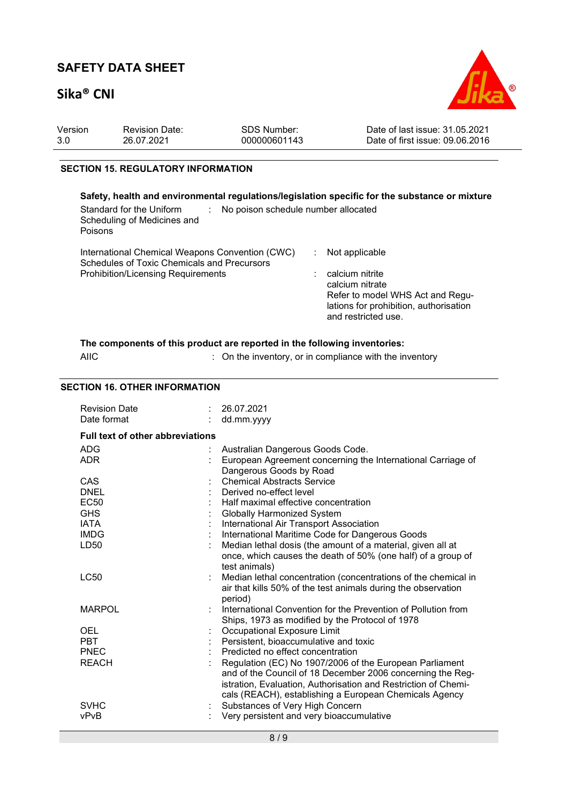# Sika® CNI



| Version | <b>Revision Date:</b> | SDS Number:  | Date of last issue: 31.05.2021  |
|---------|-----------------------|--------------|---------------------------------|
| 3.0     | 26.07.2021            | 000000601143 | Date of first issue: 09.06.2016 |
|         |                       |              |                                 |

#### SECTION 15. REGULATORY INFORMATION

| Safety, health and environmental regulations/legislation specific for the substance or mixture<br>Standard for the Uniform<br>No poison schedule number allocated<br>Scheduling of Medicines and<br>Poisons |                                                                                                                                                           |
|-------------------------------------------------------------------------------------------------------------------------------------------------------------------------------------------------------------|-----------------------------------------------------------------------------------------------------------------------------------------------------------|
| International Chemical Weapons Convention (CWC)<br>Schedules of Toxic Chemicals and Precursors<br><b>Prohibition/Licensing Requirements</b>                                                                 | Not applicable<br>calcium nitrite<br>calcium nitrate<br>Refer to model WHS Act and Regu-<br>lations for prohibition, authorisation<br>and restricted use. |

|             | The components of this product are reported in the following inventories: |
|-------------|---------------------------------------------------------------------------|
| <b>AIIC</b> | : On the inventory, or in compliance with the inventory                   |

#### SECTION 16. OTHER INFORMATION

| <b>Revision Date</b><br>Date format      | : 26.07.2021<br>dd.mm.yyyy                                                                                                                                                                                                                        |
|------------------------------------------|---------------------------------------------------------------------------------------------------------------------------------------------------------------------------------------------------------------------------------------------------|
| <b>Full text of other abbreviations</b>  |                                                                                                                                                                                                                                                   |
| <b>ADG</b><br><b>ADR</b>                 | Australian Dangerous Goods Code.<br>European Agreement concerning the International Carriage of<br>Dangerous Goods by Road                                                                                                                        |
| CAS<br><b>DNEL</b><br>EC <sub>50</sub>   | <b>Chemical Abstracts Service</b><br>Derived no-effect level<br>Half maximal effective concentration                                                                                                                                              |
| <b>GHS</b><br><b>IATA</b><br><b>IMDG</b> | <b>Globally Harmonized System</b><br>International Air Transport Association<br>International Maritime Code for Dangerous Goods                                                                                                                   |
| LD50                                     | Median lethal dosis (the amount of a material, given all at<br>once, which causes the death of 50% (one half) of a group of<br>test animals)                                                                                                      |
| <b>LC50</b>                              | Median lethal concentration (concentrations of the chemical in<br>air that kills 50% of the test animals during the observation<br>period)                                                                                                        |
| <b>MARPOL</b>                            | International Convention for the Prevention of Pollution from<br>Ships, 1973 as modified by the Protocol of 1978                                                                                                                                  |
| <b>OEL</b><br><b>PBT</b><br><b>PNEC</b>  | Occupational Exposure Limit<br>Persistent, bioaccumulative and toxic<br>Predicted no effect concentration                                                                                                                                         |
| <b>REACH</b>                             | Regulation (EC) No 1907/2006 of the European Parliament<br>and of the Council of 18 December 2006 concerning the Reg-<br>istration, Evaluation, Authorisation and Restriction of Chemi-<br>cals (REACH), establishing a European Chemicals Agency |
| <b>SVHC</b><br>vPvB                      | Substances of Very High Concern<br>Very persistent and very bioaccumulative                                                                                                                                                                       |